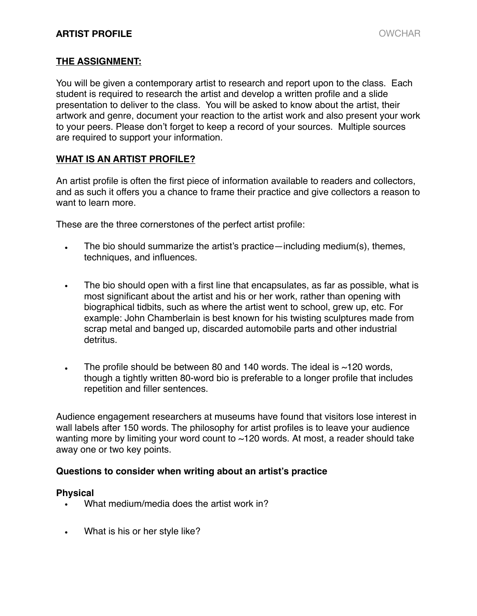# **ARTIST PROFILE** OWCHAR

## **THE ASSIGNMENT:**

You will be given a contemporary artist to research and report upon to the class. Each student is required to research the artist and develop a written profile and a slide presentation to deliver to the class. You will be asked to know about the artist, their artwork and genre, document your reaction to the artist work and also present your work to your peers. Please don't forget to keep a record of your sources. Multiple sources are required to support your information.

# **WHAT IS AN ARTIST PROFILE?**

An artist profile is often the first piece of information available to readers and collectors, and as such it offers you a chance to frame their practice and give collectors a reason to want to learn more.

These are the three cornerstones of the perfect artist profile:

- The bio should summarize the artist's practice—including medium(s), themes, techniques, and influences.
- The bio should open with a first line that encapsulates, as far as possible, what is most significant about the artist and his or her work, rather than opening with biographical tidbits, such as where the artist went to school, grew up, etc. For example: John Chamberlain is best known for his twisting sculptures made from scrap metal and banged up, discarded automobile parts and other industrial detritus.
- The profile should be between 80 and 140 words. The ideal is  $\sim$ 120 words, though a tightly written 80-word bio is preferable to a longer profile that includes repetition and filler sentences.

Audience engagement researchers at museums have found that visitors lose interest in wall labels after 150 words. The philosophy for artist profiles is to leave your audience wanting more by limiting your word count to ~120 words. At most, a reader should take away one or two key points.

## **Questions to consider when writing about an artist's practice**

#### **Physical**

- What medium/media does the artist work in?
- What is his or her style like?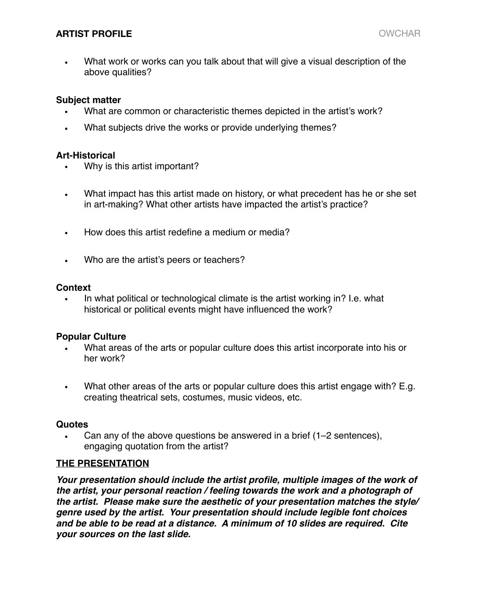# **ARTIST PROFILE** OWCHAR

• What work or works can you talk about that will give a visual description of the above qualities?

#### **Subject matter**

- What are common or characteristic themes depicted in the artist's work?
- What subjects drive the works or provide underlying themes?

#### **Art-Historical**

- Why is this artist important?
- What impact has this artist made on history, or what precedent has he or she set in art-making? What other artists have impacted the artist's practice?
- How does this artist redefine a medium or media?
- Who are the artist's peers or teachers?

#### **Context**

• In what political or technological climate is the artist working in? I.e. what historical or political events might have influenced the work?

## **Popular Culture**

- What areas of the arts or popular culture does this artist incorporate into his or her work?
- What other areas of the arts or popular culture does this artist engage with? E.g. creating theatrical sets, costumes, music videos, etc.

#### **Quotes**

• Can any of the above questions be answered in a brief (1–2 sentences), engaging quotation from the artist?

## **THE PRESENTATION**

Your presentation should include the artist profile, multiple images of the work of *the artist, your personal reaction / feeling towards the work and a photograph of the artist. Please make sure the aesthetic of your presentation matches the style/ genre used by the artist. Your presentation should include legible font choices and be able to be read at a distance. A minimum of 10 slides are required. Cite your sources on the last slide.*